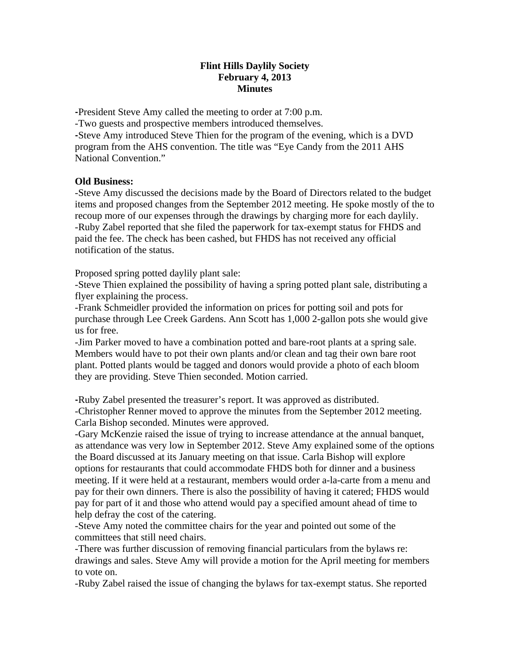## **Flint Hills Daylily Society February 4, 2013 Minutes**

**‐**President Steve Amy called the meeting to order at 7:00 p.m. -Two guests and prospective members introduced themselves. **‐**Steve Amy introduced Steve Thien for the program of the evening, which is a DVD program from the AHS convention. The title was "Eye Candy from the 2011 AHS National Convention."

## **Old Business:**

-Steve Amy discussed the decisions made by the Board of Directors related to the budget items and proposed changes from the September 2012 meeting. He spoke mostly of the to recoup more of our expenses through the drawings by charging more for each daylily. -Ruby Zabel reported that she filed the paperwork for tax-exempt status for FHDS and paid the fee. The check has been cashed, but FHDS has not received any official notification of the status.

Proposed spring potted daylily plant sale:

-Steve Thien explained the possibility of having a spring potted plant sale, distributing a flyer explaining the process.

-Frank Schmeidler provided the information on prices for potting soil and pots for purchase through Lee Creek Gardens. Ann Scott has 1,000 2-gallon pots she would give us for free.

-Jim Parker moved to have a combination potted and bare-root plants at a spring sale. Members would have to pot their own plants and/or clean and tag their own bare root plant. Potted plants would be tagged and donors would provide a photo of each bloom they are providing. Steve Thien seconded. Motion carried.

**‐**Ruby Zabel presented the treasurer's report. It was approved as distributed. -Christopher Renner moved to approve the minutes from the September 2012 meeting. Carla Bishop seconded. Minutes were approved.

-Gary McKenzie raised the issue of trying to increase attendance at the annual banquet, as attendance was very low in September 2012. Steve Amy explained some of the options the Board discussed at its January meeting on that issue. Carla Bishop will explore options for restaurants that could accommodate FHDS both for dinner and a business meeting. If it were held at a restaurant, members would order a-la-carte from a menu and pay for their own dinners. There is also the possibility of having it catered; FHDS would pay for part of it and those who attend would pay a specified amount ahead of time to help defray the cost of the catering.

-Steve Amy noted the committee chairs for the year and pointed out some of the committees that still need chairs.

-There was further discussion of removing financial particulars from the bylaws re: drawings and sales. Steve Amy will provide a motion for the April meeting for members to vote on.

-Ruby Zabel raised the issue of changing the bylaws for tax-exempt status. She reported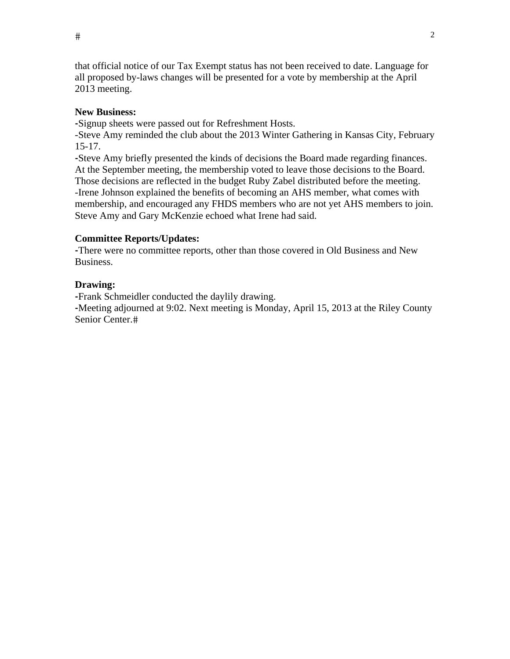$\#$  2

that official notice of our Tax Exempt status has not been received to date. Language for all proposed by-laws changes will be presented for a vote by membership at the April 2013 meeting.

#### **New Business:**

**‐**Signup sheets were passed out for Refreshment Hosts.

-Steve Amy reminded the club about the 2013 Winter Gathering in Kansas City, February 15-17.

**‐**Steve Amy briefly presented the kinds of decisions the Board made regarding finances. At the September meeting, the membership voted to leave those decisions to the Board. Those decisions are reflected in the budget Ruby Zabel distributed before the meeting. -Irene Johnson explained the benefits of becoming an AHS member, what comes with membership, and encouraged any FHDS members who are not yet AHS members to join. Steve Amy and Gary McKenzie echoed what Irene had said.

#### **Committee Reports/Updates:**

**‐**There were no committee reports, other than those covered in Old Business and New Business.

#### **Drawing:**

**‐**Frank Schmeidler conducted the daylily drawing.

**‐**Meeting adjourned at 9:02. Next meeting is Monday, April 15, 2013 at the Riley County Senior Center.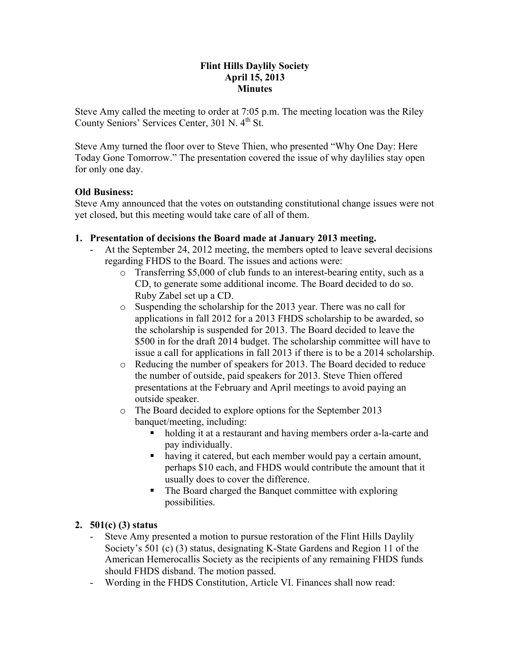# **Flint Hills Daylily Society April 15, 2013 Minutes**

Steve Amy called the meeting to order at 7:05 p.m. The meeting location was the Riley County Seniors' Services Center, 301 N. 4<sup>th</sup> St.

Steve Amy turned the floor over to Steve Thien, who presented "Why One Day: Here Today Gone Tomorrow." The presentation covered the issue of why daylilies stay open for only one day.

# **Old Business:**

Steve Amy announced that the votes on outstanding constitutional change issues were not yet closed, but this meeting would take care of all of them.

# **1. Presentation of decisions the Board made at January 2013 meeting.**

- At the September 24, 2012 meeting, the members opted to leave several decisions regarding FHDS to the Board. The issues and actions were:
	- o Transferring \$5,000 of club funds to an interest-bearing entity, such as a CD, to generate some additional income. The Board decided to do so. Ruby Zabel set up a CD.
	- o Suspending the scholarship for the 2013 year. There was no call for applications in fall 2012 for a 2013 FHDS scholarship to be awarded, so the scholarship is suspended for 2013. The Board decided to leave the \$500 in for the draft 2014 budget. The scholarship committee will have to issue a call for applications in fall 2013 if there is to be a 2014 scholarship.
	- o Reducing the number of speakers for 2013. The Board decided to reduce the number of outside, paid speakers for 2013. Steve Thien offered presentations at the February and April meetings to avoid paying an outside speaker.
	- o The Board decided to explore options for the September 2013 banquet/meeting, including:
		- holding it at a restaurant and having members order a-la-carte and pay individually.
		- having it catered, but each member would pay a certain amount, perhaps \$10 each, and FHDS would contribute the amount that it usually does to cover the difference.
		- The Board charged the Banquet committee with exploring possibilities.

# **2. 501(c) (3) status**

- Steve Amy presented a motion to pursue restoration of the Flint Hills Daylily Society's 501 (c) (3) status, designating K-State Gardens and Region 11 of the American Hemerocallis Society as the recipients of any remaining FHDS funds should FHDS disband. The motion passed.
- Wording in the FHDS Constitution, Article VI. Finances shall now read: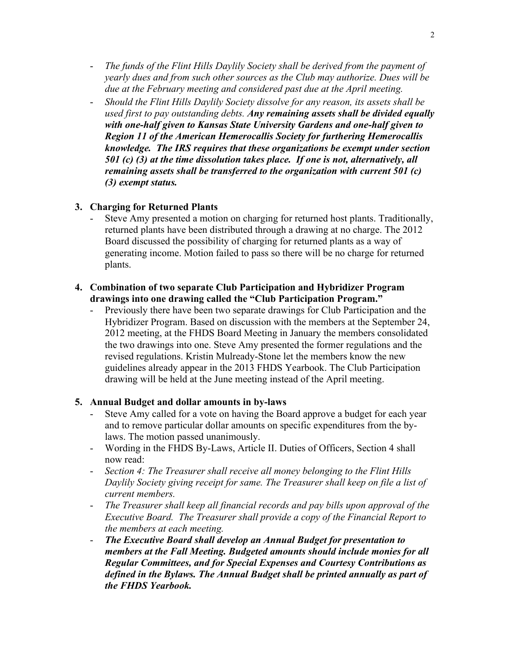- *The funds of the Flint Hills Daylily Society shall be derived from the payment of yearly dues and from such other sources as the Club may authorize. Dues will be due at the February meeting and considered past due at the April meeting.*
- *Should the Flint Hills Daylily Society dissolve for any reason, its assets shall be used first to pay outstanding debts. Any remaining assets shall be divided equally with one-half given to Kansas State University Gardens and one-half given to Region 11 of the American Hemerocallis Society for furthering Hemerocallis knowledge. The IRS requires that these organizations be exempt under section 501 (c) (3) at the time dissolution takes place. If one is not, alternatively, all remaining assets shall be transferred to the organization with current 501 (c) (3) exempt status.*

## **3. Charging for Returned Plants**

Steve Amy presented a motion on charging for returned host plants. Traditionally, returned plants have been distributed through a drawing at no charge. The 2012 Board discussed the possibility of charging for returned plants as a way of generating income. Motion failed to pass so there will be no charge for returned plants.

#### **4. Combination of two separate Club Participation and Hybridizer Program drawings into one drawing called the "Club Participation Program."**

- Previously there have been two separate drawings for Club Participation and the Hybridizer Program. Based on discussion with the members at the September 24, 2012 meeting, at the FHDS Board Meeting in January the members consolidated the two drawings into one. Steve Amy presented the former regulations and the revised regulations. Kristin Mulready-Stone let the members know the new guidelines already appear in the 2013 FHDS Yearbook. The Club Participation drawing will be held at the June meeting instead of the April meeting.

## **5. Annual Budget and dollar amounts in by-laws**

- Steve Amy called for a vote on having the Board approve a budget for each year and to remove particular dollar amounts on specific expenditures from the bylaws. The motion passed unanimously.
- Wording in the FHDS By-Laws, Article II. Duties of Officers, Section 4 shall now read:
- *Section 4: The Treasurer shall receive all money belonging to the Flint Hills Daylily Society giving receipt for same. The Treasurer shall keep on file a list of current members.*
- *The Treasurer shall keep all financial records and pay bills upon approval of the Executive Board. The Treasurer shall provide a copy of the Financial Report to the members at each meeting.*
- *The Executive Board shall develop an Annual Budget for presentation to members at the Fall Meeting. Budgeted amounts should include monies for all Regular Committees, and for Special Expenses and Courtesy Contributions as defined in the Bylaws. The Annual Budget shall be printed annually as part of the FHDS Yearbook.*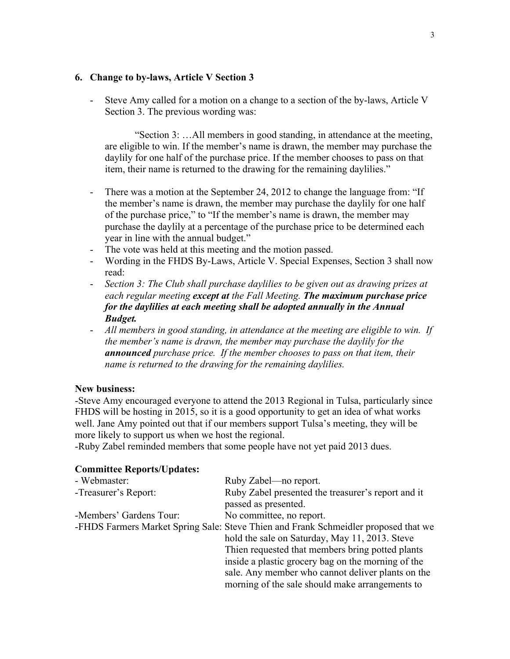#### **6. Change to by-laws, Article V Section 3**

- Steve Amy called for a motion on a change to a section of the by-laws, Article V Section 3. The previous wording was:

"Section 3: …All members in good standing, in attendance at the meeting, are eligible to win. If the member's name is drawn, the member may purchase the daylily for one half of the purchase price. If the member chooses to pass on that item, their name is returned to the drawing for the remaining daylilies."

- There was a motion at the September 24, 2012 to change the language from: "If the member's name is drawn, the member may purchase the daylily for one half of the purchase price," to "If the member's name is drawn, the member may purchase the daylily at a percentage of the purchase price to be determined each year in line with the annual budget."
- The vote was held at this meeting and the motion passed.
- Wording in the FHDS By-Laws, Article V. Special Expenses, Section 3 shall now read:
- *Section 3: The Club shall purchase daylilies to be given out as drawing prizes at each regular meeting except at the Fall Meeting. The maximum purchase price for the daylilies at each meeting shall be adopted annually in the Annual Budget.*
- *All members in good standing, in attendance at the meeting are eligible to win. If the member's name is drawn, the member may purchase the daylily for the announced purchase price. If the member chooses to pass on that item, their name is returned to the drawing for the remaining daylilies.*

## **New business:**

-Steve Amy encouraged everyone to attend the 2013 Regional in Tulsa, particularly since FHDS will be hosting in 2015, so it is a good opportunity to get an idea of what works well. Jane Amy pointed out that if our members support Tulsa's meeting, they will be more likely to support us when we host the regional.

-Ruby Zabel reminded members that some people have not yet paid 2013 dues.

#### **Committee Reports/Updates:**

| Ruby Zabel—no report.                                                               |
|-------------------------------------------------------------------------------------|
| Ruby Zabel presented the treasurer's report and it                                  |
| passed as presented.                                                                |
| No committee, no report.                                                            |
| -FHDS Farmers Market Spring Sale: Steve Thien and Frank Schmeidler proposed that we |
| hold the sale on Saturday, May 11, 2013. Steve                                      |
| Thien requested that members bring potted plants                                    |
| inside a plastic grocery bag on the morning of the                                  |
| sale. Any member who cannot deliver plants on the                                   |
| morning of the sale should make arrangements to                                     |
|                                                                                     |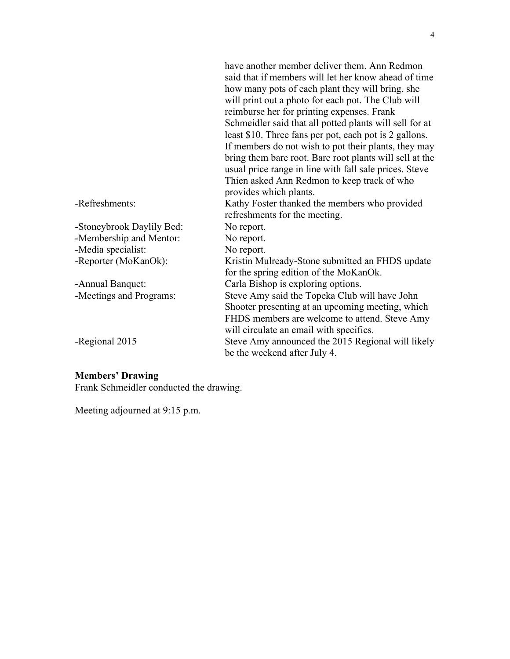|                           | have another member deliver them. Ann Redmon            |
|---------------------------|---------------------------------------------------------|
|                           | said that if members will let her know ahead of time    |
|                           | how many pots of each plant they will bring, she        |
|                           | will print out a photo for each pot. The Club will      |
|                           | reimburse her for printing expenses. Frank              |
|                           | Schmeidler said that all potted plants will sell for at |
|                           | least \$10. Three fans per pot, each pot is 2 gallons.  |
|                           | If members do not wish to pot their plants, they may    |
|                           | bring them bare root. Bare root plants will sell at the |
|                           | usual price range in line with fall sale prices. Steve  |
|                           | Thien asked Ann Redmon to keep track of who             |
|                           | provides which plants.                                  |
| -Refreshments:            | Kathy Foster thanked the members who provided           |
|                           | refreshments for the meeting.                           |
| -Stoneybrook Daylily Bed: | No report.                                              |
| -Membership and Mentor:   | No report.                                              |
| -Media specialist:        | No report.                                              |
| -Reporter (MoKanOk):      | Kristin Mulready-Stone submitted an FHDS update         |
|                           | for the spring edition of the MoKanOk.                  |
| -Annual Banquet:          | Carla Bishop is exploring options.                      |
| -Meetings and Programs:   | Steve Amy said the Topeka Club will have John           |
|                           | Shooter presenting at an upcoming meeting, which        |
|                           | FHDS members are welcome to attend. Steve Amy           |
|                           | will circulate an email with specifics.                 |
| -Regional 2015            | Steve Amy announced the 2015 Regional will likely       |
|                           | be the weekend after July 4.                            |
|                           |                                                         |

#### **Members' Drawing**

Frank Schmeidler conducted the drawing.

Meeting adjourned at 9:15 p.m.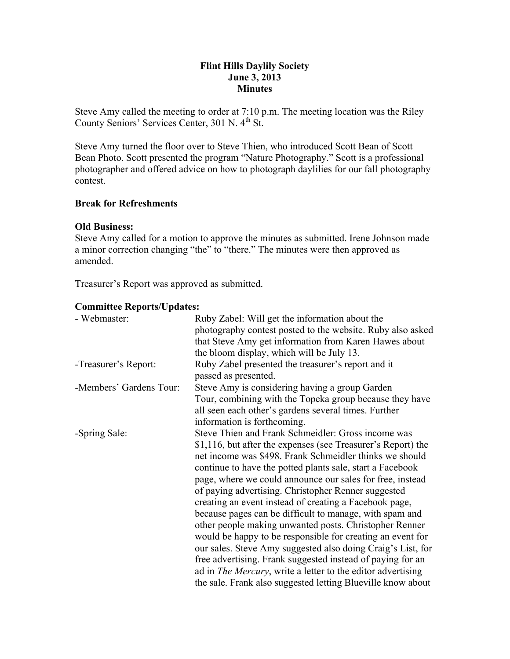# **Flint Hills Daylily Society June 3, 2013 Minutes**

Steve Amy called the meeting to order at 7:10 p.m. The meeting location was the Riley County Seniors' Services Center, 301 N. 4<sup>th</sup> St.

Steve Amy turned the floor over to Steve Thien, who introduced Scott Bean of Scott Bean Photo. Scott presented the program "Nature Photography." Scott is a professional photographer and offered advice on how to photograph daylilies for our fall photography contest.

# **Break for Refreshments**

# **Old Business:**

Steve Amy called for a motion to approve the minutes as submitted. Irene Johnson made a minor correction changing "the" to "there." The minutes were then approved as amended.

Treasurer's Report was approved as submitted.

# **Committee Reports/Updates:**

| - Webmaster:            | Ruby Zabel: Will get the information about the                                                            |
|-------------------------|-----------------------------------------------------------------------------------------------------------|
|                         | photography contest posted to the website. Ruby also asked                                                |
|                         | that Steve Amy get information from Karen Hawes about                                                     |
|                         | the bloom display, which will be July 13.                                                                 |
| -Treasurer's Report:    | Ruby Zabel presented the treasurer's report and it<br>passed as presented.                                |
|                         |                                                                                                           |
| -Members' Gardens Tour: | Steve Amy is considering having a group Garden<br>Tour, combining with the Topeka group because they have |
|                         | all seen each other's gardens several times. Further                                                      |
|                         | information is forthcoming.                                                                               |
| -Spring Sale:           | Steve Thien and Frank Schmeidler: Gross income was                                                        |
|                         | \$1,116, but after the expenses (see Treasurer's Report) the                                              |
|                         | net income was \$498. Frank Schmeidler thinks we should                                                   |
|                         | continue to have the potted plants sale, start a Facebook                                                 |
|                         | page, where we could announce our sales for free, instead                                                 |
|                         | of paying advertising. Christopher Renner suggested                                                       |
|                         | creating an event instead of creating a Facebook page,                                                    |
|                         | because pages can be difficult to manage, with spam and                                                   |
|                         | other people making unwanted posts. Christopher Renner                                                    |
|                         | would be happy to be responsible for creating an event for                                                |
|                         | our sales. Steve Amy suggested also doing Craig's List, for                                               |
|                         | free advertising. Frank suggested instead of paying for an                                                |
|                         | ad in <i>The Mercury</i> , write a letter to the editor advertising                                       |
|                         | the sale. Frank also suggested letting Blueville know about                                               |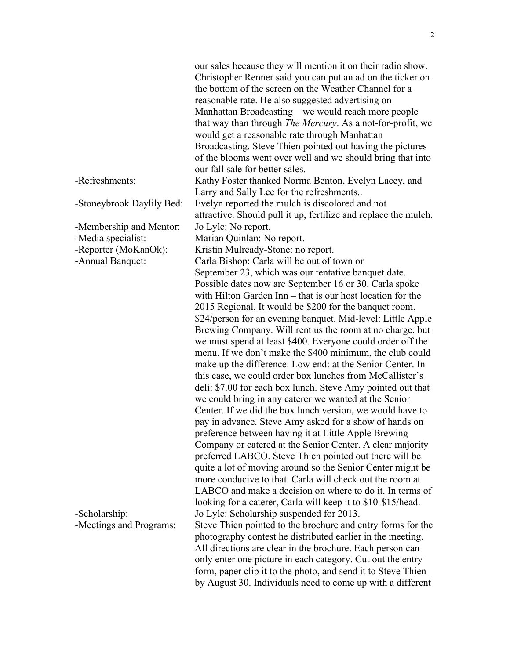|                                               | our sales because they will mention it on their radio show.<br>Christopher Renner said you can put an ad on the ticker on<br>the bottom of the screen on the Weather Channel for a<br>reasonable rate. He also suggested advertising on<br>Manhattan Broadcasting – we would reach more people<br>that way than through <i>The Mercury</i> . As a not-for-profit, we<br>would get a reasonable rate through Manhattan<br>Broadcasting. Steve Thien pointed out having the pictures<br>of the blooms went over well and we should bring that into<br>our fall sale for better sales.                                                                                                                                                                                                                                                                                                                                                                                                                                                                                                                                                                                                                                                                                                                     |
|-----------------------------------------------|---------------------------------------------------------------------------------------------------------------------------------------------------------------------------------------------------------------------------------------------------------------------------------------------------------------------------------------------------------------------------------------------------------------------------------------------------------------------------------------------------------------------------------------------------------------------------------------------------------------------------------------------------------------------------------------------------------------------------------------------------------------------------------------------------------------------------------------------------------------------------------------------------------------------------------------------------------------------------------------------------------------------------------------------------------------------------------------------------------------------------------------------------------------------------------------------------------------------------------------------------------------------------------------------------------|
| -Refreshments:                                | Kathy Foster thanked Norma Benton, Evelyn Lacey, and<br>Larry and Sally Lee for the refreshments                                                                                                                                                                                                                                                                                                                                                                                                                                                                                                                                                                                                                                                                                                                                                                                                                                                                                                                                                                                                                                                                                                                                                                                                        |
| -Stoneybrook Daylily Bed:                     | Evelyn reported the mulch is discolored and not<br>attractive. Should pull it up, fertilize and replace the mulch.                                                                                                                                                                                                                                                                                                                                                                                                                                                                                                                                                                                                                                                                                                                                                                                                                                                                                                                                                                                                                                                                                                                                                                                      |
| -Membership and Mentor:<br>-Media specialist: | Jo Lyle: No report.<br>Marian Quinlan: No report.                                                                                                                                                                                                                                                                                                                                                                                                                                                                                                                                                                                                                                                                                                                                                                                                                                                                                                                                                                                                                                                                                                                                                                                                                                                       |
| -Reporter (MoKanOk):<br>-Annual Banquet:      | Kristin Mulready-Stone: no report.<br>Carla Bishop: Carla will be out of town on                                                                                                                                                                                                                                                                                                                                                                                                                                                                                                                                                                                                                                                                                                                                                                                                                                                                                                                                                                                                                                                                                                                                                                                                                        |
|                                               | September 23, which was our tentative banquet date.<br>Possible dates now are September 16 or 30. Carla spoke<br>with Hilton Garden Inn – that is our host location for the<br>2015 Regional. It would be \$200 for the banquet room.<br>\$24/person for an evening banquet. Mid-level: Little Apple<br>Brewing Company. Will rent us the room at no charge, but<br>we must spend at least \$400. Everyone could order off the<br>menu. If we don't make the \$400 minimum, the club could<br>make up the difference. Low end: at the Senior Center. In<br>this case, we could order box lunches from McCallister's<br>deli: \$7.00 for each box lunch. Steve Amy pointed out that<br>we could bring in any caterer we wanted at the Senior<br>Center. If we did the box lunch version, we would have to<br>pay in advance. Steve Amy asked for a show of hands on<br>preference between having it at Little Apple Brewing<br>Company or catered at the Senior Center. A clear majority<br>preferred LABCO. Steve Thien pointed out there will be<br>quite a lot of moving around so the Senior Center might be<br>more conducive to that. Carla will check out the room at<br>LABCO and make a decision on where to do it. In terms of<br>looking for a caterer, Carla will keep it to \$10-\$15/head. |
| -Scholarship:<br>-Meetings and Programs:      | Jo Lyle: Scholarship suspended for 2013.<br>Steve Thien pointed to the brochure and entry forms for the<br>photography contest he distributed earlier in the meeting.<br>All directions are clear in the brochure. Each person can<br>only enter one picture in each category. Cut out the entry<br>form, paper clip it to the photo, and send it to Steve Thien<br>by August 30. Individuals need to come up with a different                                                                                                                                                                                                                                                                                                                                                                                                                                                                                                                                                                                                                                                                                                                                                                                                                                                                          |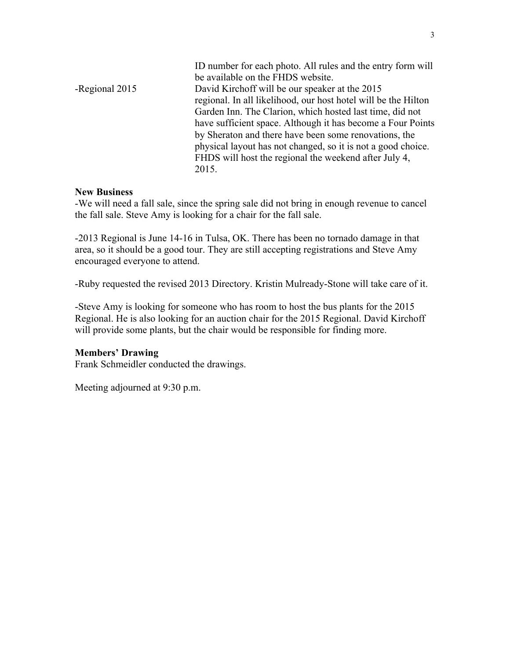|                | ID number for each photo. All rules and the entry form will<br>be available on the FHDS website. |
|----------------|--------------------------------------------------------------------------------------------------|
| -Regional 2015 | David Kirchoff will be our speaker at the 2015                                                   |
|                | regional. In all likelihood, our host hotel will be the Hilton                                   |
|                | Garden Inn. The Clarion, which hosted last time, did not                                         |
|                | have sufficient space. Although it has become a Four Points                                      |
|                | by Sheraton and there have been some renovations, the                                            |
|                | physical layout has not changed, so it is not a good choice.                                     |
|                | FHDS will host the regional the weekend after July 4,                                            |
|                | 2015.                                                                                            |

#### **New Business**

-We will need a fall sale, since the spring sale did not bring in enough revenue to cancel the fall sale. Steve Amy is looking for a chair for the fall sale.

-2013 Regional is June 14-16 in Tulsa, OK. There has been no tornado damage in that area, so it should be a good tour. They are still accepting registrations and Steve Amy encouraged everyone to attend.

-Ruby requested the revised 2013 Directory. Kristin Mulready-Stone will take care of it.

-Steve Amy is looking for someone who has room to host the bus plants for the 2015 Regional. He is also looking for an auction chair for the 2015 Regional. David Kirchoff will provide some plants, but the chair would be responsible for finding more.

## **Members' Drawing**

Frank Schmeidler conducted the drawings.

Meeting adjourned at 9:30 p.m.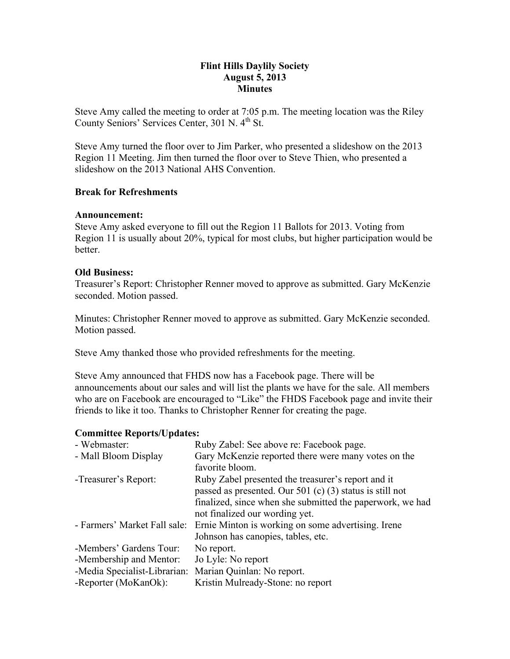# **Flint Hills Daylily Society August 5, 2013 Minutes**

Steve Amy called the meeting to order at 7:05 p.m. The meeting location was the Riley County Seniors' Services Center, 301 N. 4<sup>th</sup> St.

Steve Amy turned the floor over to Jim Parker, who presented a slideshow on the 2013 Region 11 Meeting. Jim then turned the floor over to Steve Thien, who presented a slideshow on the 2013 National AHS Convention.

# **Break for Refreshments**

## **Announcement:**

Steve Amy asked everyone to fill out the Region 11 Ballots for 2013. Voting from Region 11 is usually about 20%, typical for most clubs, but higher participation would be better.

# **Old Business:**

Treasurer's Report: Christopher Renner moved to approve as submitted. Gary McKenzie seconded. Motion passed.

Minutes: Christopher Renner moved to approve as submitted. Gary McKenzie seconded. Motion passed.

Steve Amy thanked those who provided refreshments for the meeting.

Steve Amy announced that FHDS now has a Facebook page. There will be announcements about our sales and will list the plants we have for the sale. All members who are on Facebook are encouraged to "Like" the FHDS Facebook page and invite their friends to like it too. Thanks to Christopher Renner for creating the page.

## **Committee Reports/Updates:**

| - Webmaster:                 | Ruby Zabel: See above re: Facebook page.                                                                         |
|------------------------------|------------------------------------------------------------------------------------------------------------------|
| - Mall Bloom Display         | Gary McKenzie reported there were many votes on the<br>favorite bloom.                                           |
| -Treasurer's Report:         | Ruby Zabel presented the treasurer's report and it<br>passed as presented. Our 501 (c) $(3)$ status is still not |
|                              | finalized, since when she submitted the paperwork, we had<br>not finalized our wording yet.                      |
| - Farmers' Market Fall sale: | Ernie Minton is working on some advertising. Irene                                                               |
|                              | Johnson has canopies, tables, etc.                                                                               |
| -Members' Gardens Tour:      | No report.                                                                                                       |
| -Membership and Mentor:      | Jo Lyle: No report                                                                                               |
| -Media Specialist-Librarian: | Marian Quinlan: No report.                                                                                       |
| -Reporter (MoKanOk):         | Kristin Mulready-Stone: no report                                                                                |
|                              |                                                                                                                  |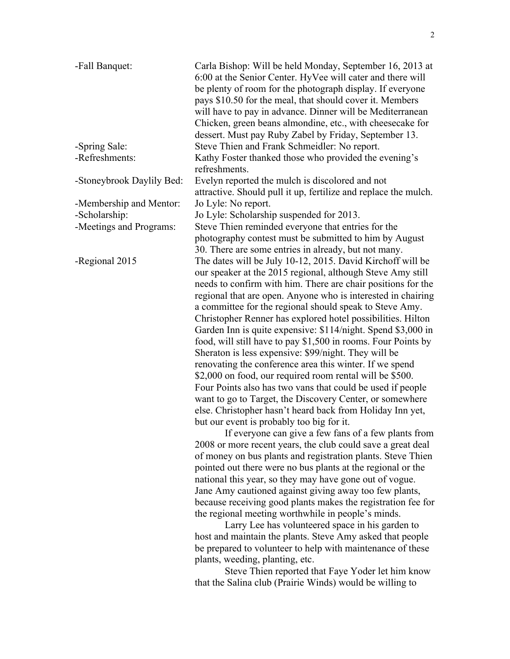| -Fall Banquet:            | Carla Bishop: Will be held Monday, September 16, 2013 at<br>6:00 at the Senior Center. HyVee will cater and there will |
|---------------------------|------------------------------------------------------------------------------------------------------------------------|
|                           | be plenty of room for the photograph display. If everyone                                                              |
|                           | pays \$10.50 for the meal, that should cover it. Members                                                               |
|                           | will have to pay in advance. Dinner will be Mediterranean                                                              |
|                           | Chicken, green beans almondine, etc., with cheesecake for                                                              |
|                           | dessert. Must pay Ruby Zabel by Friday, September 13.                                                                  |
|                           |                                                                                                                        |
| -Spring Sale:             | Steve Thien and Frank Schmeidler: No report.                                                                           |
| -Refreshments:            | Kathy Foster thanked those who provided the evening's<br>refreshments.                                                 |
| -Stoneybrook Daylily Bed: | Evelyn reported the mulch is discolored and not                                                                        |
|                           | attractive. Should pull it up, fertilize and replace the mulch.                                                        |
| -Membership and Mentor:   | Jo Lyle: No report.                                                                                                    |
| -Scholarship:             | Jo Lyle: Scholarship suspended for 2013.                                                                               |
| -Meetings and Programs:   | Steve Thien reminded everyone that entries for the                                                                     |
|                           | photography contest must be submitted to him by August                                                                 |
|                           | 30. There are some entries in already, but not many.                                                                   |
| -Regional 2015            | The dates will be July 10-12, 2015. David Kirchoff will be                                                             |
|                           | our speaker at the 2015 regional, although Steve Amy still                                                             |
|                           | needs to confirm with him. There are chair positions for the                                                           |
|                           | regional that are open. Anyone who is interested in chairing                                                           |
|                           | a committee for the regional should speak to Steve Amy.                                                                |
|                           | Christopher Renner has explored hotel possibilities. Hilton                                                            |
|                           | Garden Inn is quite expensive: \$114/night. Spend \$3,000 in                                                           |
|                           | food, will still have to pay \$1,500 in rooms. Four Points by                                                          |
|                           | Sheraton is less expensive: \$99/night. They will be                                                                   |
|                           | renovating the conference area this winter. If we spend                                                                |
|                           | \$2,000 on food, our required room rental will be \$500.                                                               |
|                           | Four Points also has two vans that could be used if people                                                             |
|                           | want to go to Target, the Discovery Center, or somewhere                                                               |
|                           | else. Christopher hasn't heard back from Holiday Inn yet,                                                              |
|                           | but our event is probably too big for it.                                                                              |
|                           | If everyone can give a few fans of a few plants from                                                                   |
|                           |                                                                                                                        |
|                           | 2008 or more recent years, the club could save a great deal                                                            |
|                           | of money on bus plants and registration plants. Steve Thien                                                            |
|                           | pointed out there were no bus plants at the regional or the                                                            |
|                           | national this year, so they may have gone out of vogue.                                                                |
|                           | Jane Amy cautioned against giving away too few plants,                                                                 |
|                           | because receiving good plants makes the registration fee for                                                           |
|                           | the regional meeting worthwhile in people's minds.                                                                     |

Larry Lee has volunteered space in his garden to host and maintain the plants. Steve Amy asked that people be prepared to volunteer to help with maintenance of these plants, weeding, planting, etc.

Steve Thien reported that Faye Yoder let him know that the Salina club (Prairie Winds) would be willing to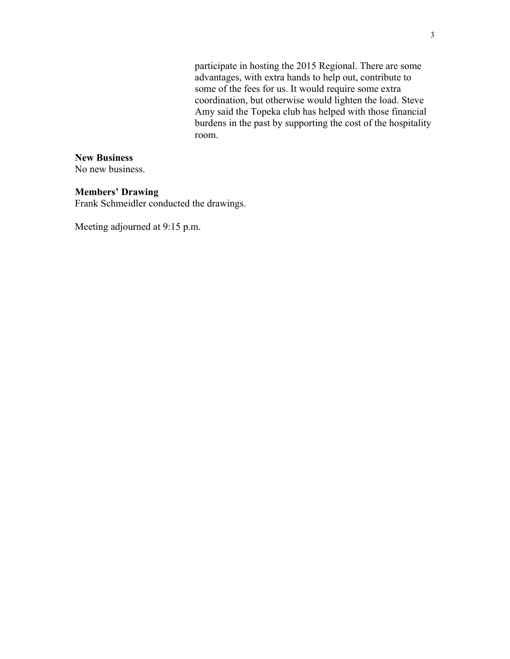participate in hosting the 2015 Regional. There are some advantages, with extra hands to help out, contribute to some of the fees for us. It would require some extra coordination, but otherwise would lighten the load. Steve Amy said the Topeka club has helped with those financial burdens in the past by supporting the cost of the hospitality room.

# **New Business**

No new business.

#### **Members' Drawing**

Frank Schmeidler conducted the drawings.

Meeting adjourned at 9:15 p.m.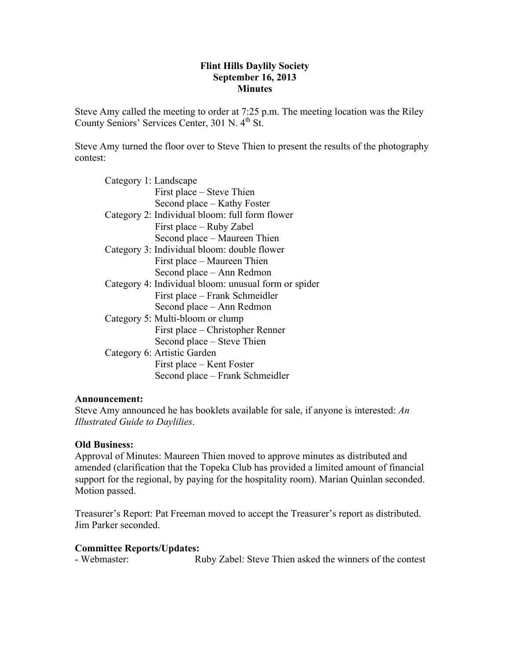# **Flint Hills Daylily Society September 16, 2013 Minutes**

Steve Amy called the meeting to order at 7:25 p.m. The meeting location was the Riley County Seniors' Services Center, 301 N. 4<sup>th</sup> St.

Steve Amy turned the floor over to Steve Thien to present the results of the photography contest:

| Category 1: Landscape                                |
|------------------------------------------------------|
| First place – Steve Thien                            |
| Second place – Kathy Foster                          |
| Category 2: Individual bloom: full form flower       |
| First place – Ruby Zabel                             |
| Second place – Maureen Thien                         |
| Category 3: Individual bloom: double flower          |
| First place – Maureen Thien                          |
| Second place - Ann Redmon                            |
| Category 4: Individual bloom: unusual form or spider |
| First place – Frank Schmeidler                       |
| Second place – Ann Redmon                            |
| Category 5: Multi-bloom or clump                     |
| First place – Christopher Renner                     |
| Second place – Steve Thien                           |
| Category 6: Artistic Garden                          |
| First place – Kent Foster                            |
| Second place – Frank Schmeidler                      |
|                                                      |

## **Announcement:**

Steve Amy announced he has booklets available for sale, if anyone is interested: *An Illustrated Guide to Daylilies*.

# **Old Business:**

Approval of Minutes: Maureen Thien moved to approve minutes as distributed and amended (clarification that the Topeka Club has provided a limited amount of financial support for the regional, by paying for the hospitality room). Marian Quinlan seconded. Motion passed.

Treasurer's Report: Pat Freeman moved to accept the Treasurer's report as distributed. Jim Parker seconded.

## **Committee Reports/Updates:**

- Webmaster: Ruby Zabel: Steve Thien asked the winners of the contest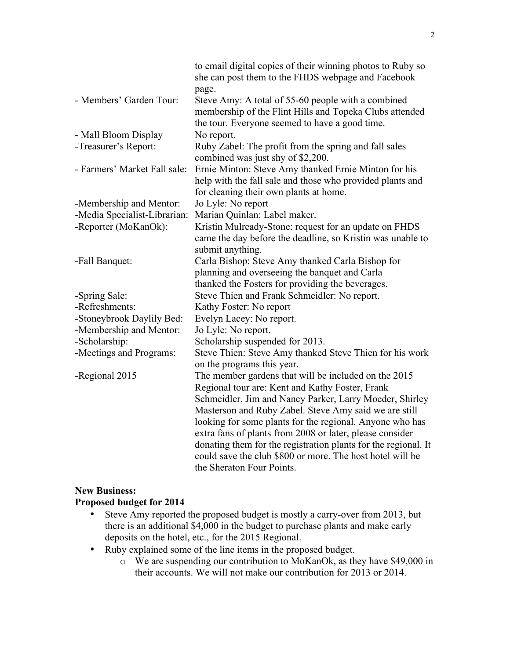| to email digital copies of their winning photos to Ruby so<br>she can post them to the FHDS webpage and Facebook                                                |
|-----------------------------------------------------------------------------------------------------------------------------------------------------------------|
| page.                                                                                                                                                           |
| Steve Amy: A total of 55-60 people with a combined<br>membership of the Flint Hills and Topeka Clubs attended<br>the tour. Everyone seemed to have a good time. |
| No report.                                                                                                                                                      |
| Ruby Zabel: The profit from the spring and fall sales                                                                                                           |
| combined was just shy of \$2,200.                                                                                                                               |
| Ernie Minton: Steve Amy thanked Ernie Minton for his                                                                                                            |
| help with the fall sale and those who provided plants and                                                                                                       |
| for cleaning their own plants at home.                                                                                                                          |
| Jo Lyle: No report                                                                                                                                              |
| Marian Quinlan: Label maker.                                                                                                                                    |
| Kristin Mulready-Stone: request for an update on FHDS                                                                                                           |
| came the day before the deadline, so Kristin was unable to                                                                                                      |
| submit anything.                                                                                                                                                |
| Carla Bishop: Steve Amy thanked Carla Bishop for                                                                                                                |
| planning and overseeing the banquet and Carla                                                                                                                   |
| thanked the Fosters for providing the beverages.                                                                                                                |
| Steve Thien and Frank Schmeidler: No report.                                                                                                                    |
| Kathy Foster: No report                                                                                                                                         |
| Evelyn Lacey: No report.                                                                                                                                        |
| Jo Lyle: No report.                                                                                                                                             |
| Scholarship suspended for 2013.                                                                                                                                 |
| Steve Thien: Steve Amy thanked Steve Thien for his work                                                                                                         |
| on the programs this year.                                                                                                                                      |
| The member gardens that will be included on the 2015                                                                                                            |
| Regional tour are: Kent and Kathy Foster, Frank                                                                                                                 |
| Schmeidler, Jim and Nancy Parker, Larry Moeder, Shirley                                                                                                         |
| Masterson and Ruby Zabel. Steve Amy said we are still                                                                                                           |
| looking for some plants for the regional. Anyone who has                                                                                                        |
| extra fans of plants from 2008 or later, please consider                                                                                                        |
| donating them for the registration plants for the regional. It<br>could save the club \$800 or more. The host hotel will be                                     |
| the Sheraton Four Points.                                                                                                                                       |
|                                                                                                                                                                 |

# **New Business:**

# **Proposed budget for 2014**

- Steve Amy reported the proposed budget is mostly a carry-over from 2013, but there is an additional \$4,000 in the budget to purchase plants and make early deposits on the hotel, etc., for the 2015 Regional.
- Ruby explained some of the line items in the proposed budget.
	- o We are suspending our contribution to MoKanOk, as they have \$49,000 in their accounts. We will not make our contribution for 2013 or 2014.